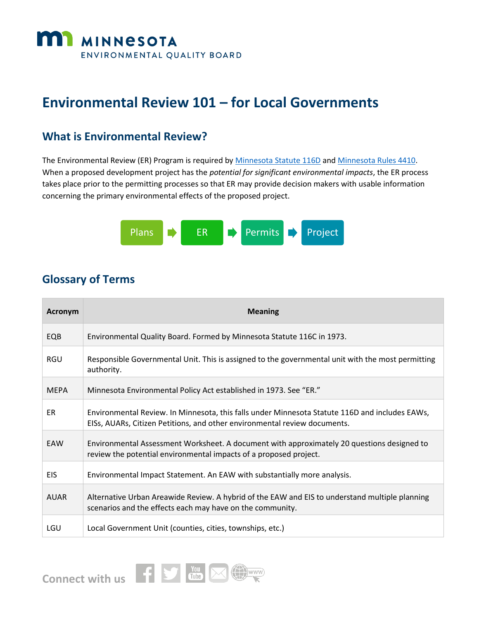

# **Environmental Review 101 – for Local Governments**

#### **What is Environmental Review?**

The Environmental Review (ER) Program is required by Minnesota [Statute 116D](https://www.revisor.mn.gov/statutes/?id=116D) an[d Minnesota Rules 4410.](https://www.revisor.mn.gov/rules/?id=4410) When a proposed development project has the *potential for significant environmental impacts*, the ER process takes place prior to the permitting processes so that ER may provide decision makers with usable information concerning the primary environmental effects of the proposed project.



### **Glossary of Terms**

| Acronym     | <b>Meaning</b>                                                                                                                                                              |
|-------------|-----------------------------------------------------------------------------------------------------------------------------------------------------------------------------|
| EQB         | Environmental Quality Board. Formed by Minnesota Statute 116C in 1973.                                                                                                      |
| <b>RGU</b>  | Responsible Governmental Unit. This is assigned to the governmental unit with the most permitting<br>authority.                                                             |
| <b>MEPA</b> | Minnesota Environmental Policy Act established in 1973. See "ER."                                                                                                           |
| ER          | Environmental Review. In Minnesota, this falls under Minnesota Statute 116D and includes EAWs,<br>EISs, AUARs, Citizen Petitions, and other environmental review documents. |
| EAW         | Environmental Assessment Worksheet. A document with approximately 20 questions designed to<br>review the potential environmental impacts of a proposed project.             |
| <b>EIS</b>  | Environmental Impact Statement. An EAW with substantially more analysis.                                                                                                    |
| <b>AUAR</b> | Alternative Urban Areawide Review. A hybrid of the EAW and EIS to understand multiple planning<br>scenarios and the effects each may have on the community.                 |
| LGU         | Local Government Unit (counties, cities, townships, etc.)                                                                                                                   |

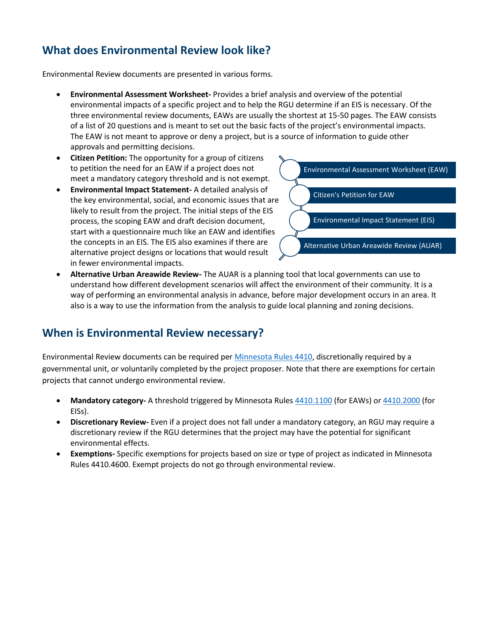# **What does Environmental Review look like?**

Environmental Review documents are presented in various forms.

- **Environmental Assessment Worksheet-** Provides a brief analysis and overview of the potential environmental impacts of a specific project and to help the RGU determine if an EIS is necessary. Of the three environmental review documents, EAWs are usually the shortest at 15-50 pages. The EAW consists of a list of 20 questions and is meant to set out the basic facts of the project's environmental impacts. The EAW is not meant to approve or deny a project, but is a source of information to guide other approvals and permitting decisions.
- **Citizen Petition:** The opportunity for a group of citizens to petition the need for an EAW if a project does not meet a mandatory category threshold and is not exempt.
- **Environmental Impact Statement-** A detailed analysis of the key environmental, social, and economic issues that are likely to result from the project. The initial steps of the EIS process, the scoping EAW and draft decision document, start with a questionnaire much like an EAW and identifies the concepts in an EIS. The EIS also examines if there are alternative project designs or locations that would result in fewer environmental impacts.



 **Alternative Urban Areawide Review-** The AUAR is a planning tool that local governments can use to understand how different development scenarios will affect the environment of their community. It is a way of performing an environmental analysis in advance, before major development occurs in an area. It also is a way to use the information from the analysis to guide local planning and zoning decisions.

# **When is Environmental Review necessary?**

Environmental Review documents can be required per [Minnesota Rules 4410,](https://www.revisor.mn.gov/rules/?id=4410) discretionally required by a governmental unit, or voluntarily completed by the project proposer. Note that there are exemptions for certain projects that cannot undergo environmental review.

- **Mandatory category-** A threshold triggered by Minnesota Rules [4410.1100](https://www.revisor.mn.gov/rules/?id=4410.1000) (for EAWs) o[r 4410.2000](https://www.revisor.mn.gov/rules/?id=4410.2000) (for EISs).
- **Discretionary Review-** Even if a project does not fall under a mandatory category, an RGU may require a discretionary review if the RGU determines that the project may have the potential for significant environmental effects.
- **Exemptions-** Specific exemptions for projects based on size or type of project as indicated in Minnesota Rules 4410.4600. Exempt projects do not go through environmental review.